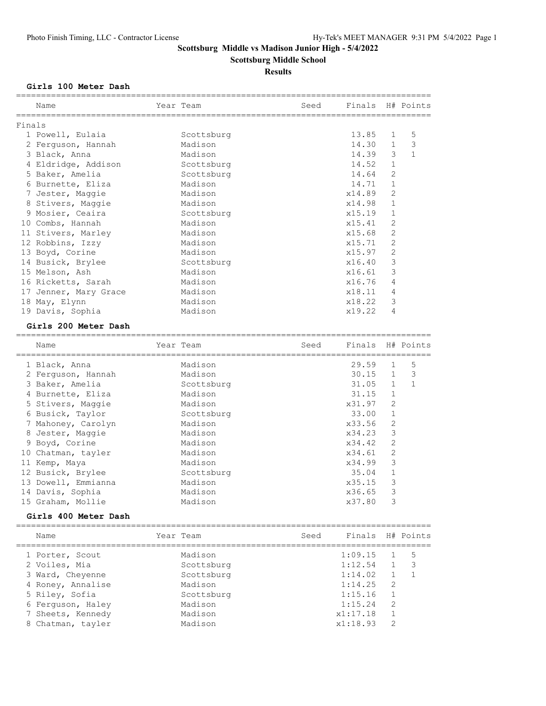**Scottsburg Middle School**

#### **Results**

#### **Girls 100 Meter Dash**

|        | Name                | Year Team  | Seed | Finals H# Points |              |              |
|--------|---------------------|------------|------|------------------|--------------|--------------|
| Finals |                     |            |      |                  |              |              |
|        | 1 Powell, Eulaia    | Scottsburg |      | 13.85            | $\mathbf{1}$ | 5            |
|        | 2 Ferguson, Hannah  | Madison    |      | 14.30            | $\mathbf{1}$ | 3            |
|        | 3 Black, Anna       | Madison    |      | 14.39            | 3            | $\mathbf{1}$ |
|        | 4 Eldridge, Addison | Scottsburg |      | 14.52            | $\mathbf{1}$ |              |
|        | 5 Baker, Amelia     | Scottsburg |      | 14.64            | 2            |              |
|        | 6 Burnette, Eliza   | Madison    |      | 14.71            | $\mathbf{1}$ |              |
|        | 7 Jester, Maggie    | Madison    |      | x14.89           | 2            |              |
|        | 8 Stivers, Maggie   | Madison    |      | x14.98           | 1            |              |
|        | 9 Mosier, Ceaira    | Scottsburg |      | x15.19           | 1            |              |
|        | 10 Combs, Hannah    | Madison    |      | x15.41           | 2            |              |
|        | 11 Stivers, Marley  | Madison    |      | x15.68           | 2            |              |
|        | 12 Robbins, Izzy    | Madison    |      | x15.71           | 2            |              |
|        | 13 Boyd, Corine     | Madison    |      | x15.97           | 2            |              |
|        | 14 Busick, Brylee   | Scottsburg |      | x16.40           | 3            |              |
|        | 15 Melson, Ash      | Madison    |      | x16.61           | 3            |              |
|        | 16 Ricketts, Sarah  | Madison    |      | x16.76           | 4            |              |
| 17     | Jenner, Mary Grace  | Madison    |      | x18.11           | 4            |              |
|        | 18 May, Elynn       | Madison    |      | x18.22           | 3            |              |
|        | 19 Davis, Sophia    | Madison    |      | x19.22           | 4            |              |
|        |                     |            |      |                  |              |              |

#### **Girls 200 Meter Dash**

| Name                | Year Team  | Seed | Finals |                | H# Points    |
|---------------------|------------|------|--------|----------------|--------------|
| 1 Black, Anna       | Madison    |      | 29.59  | $\mathbf{1}$   | 5            |
| 2 Ferquson, Hannah  | Madison    |      | 30.15  | $\mathbf{1}$   | 3            |
| 3 Baker, Amelia     | Scottsburg |      | 31.05  | $\mathbf{1}$   | $\mathbf{1}$ |
| 4 Burnette, Eliza   | Madison    |      | 31.15  | $\mathbf{1}$   |              |
| 5 Stivers, Maggie   | Madison    |      | x31.97 | $\overline{2}$ |              |
| 6 Busick, Taylor    | Scottsburg |      | 33.00  | 1              |              |
| 7 Mahoney, Carolyn  | Madison    |      | x33.56 | 2              |              |
| 8 Jester, Maggie    | Madison    |      | x34.23 | 3              |              |
| 9 Boyd, Corine      | Madison    |      | x34.42 | 2              |              |
| 10 Chatman, tayler  | Madison    |      | x34.61 | 2              |              |
| 11 Kemp, Maya       | Madison    |      | x34.99 | 3              |              |
| 12 Busick, Brylee   | Scottsburg |      | 35.04  |                |              |
| 13 Dowell, Emmianna | Madison    |      | x35.15 | 3              |              |
| 14 Davis, Sophia    | Madison    |      | x36.65 | 3              |              |
| 15 Graham, Mollie   | Madison    |      | x37.80 | 3              |              |
|                     |            |      |        |                |              |

#### **Girls 400 Meter Dash**

| Name              | Year Team  | Seed | Finals H# Points |               |    |
|-------------------|------------|------|------------------|---------------|----|
| 1 Porter, Scout   | Madison    |      | 1:09.15          |               | 5  |
| 2 Voiles, Mia     | Scottsburg |      | 1:12.54          |               | -3 |
| 3 Ward, Cheyenne  | Scottsburg |      | 1:14.02          |               |    |
| 4 Roney, Annalise | Madison    |      | 1:14.25          | 2             |    |
| 5 Riley, Sofia    | Scottsburg |      | 1:15.16          |               |    |
| 6 Ferguson, Haley | Madison    |      | 1:15.24          | 2             |    |
| 7 Sheets, Kennedy | Madison    |      | x1:17.18         | 1             |    |
| 8 Chatman, tayler | Madison    |      | x1:18.93         | $\mathcal{D}$ |    |
|                   |            |      |                  |               |    |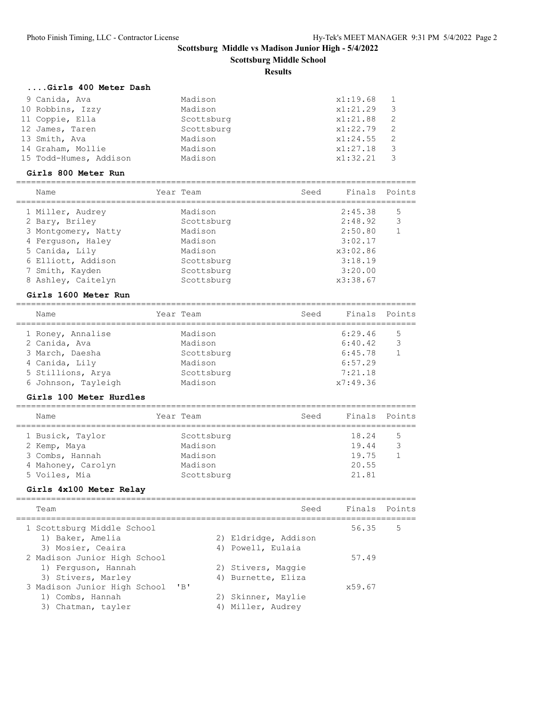**Scottsburg Middle School**

#### **Results**

# **....Girls 400 Meter Dash**

| 9 Canida, Ava          | Madison    | x1:19.68     |     |
|------------------------|------------|--------------|-----|
| 10 Robbins, Izzy       | Madison    | x1:21.29     | - 3 |
| 11 Coppie, Ella        | Scottsburg | x1:21.88     | - 2 |
| 12 James, Taren        | Scottsburg | $x1:22.79$ 2 |     |
| 13 Smith, Ava          | Madison    | $x1:24.55$ 2 |     |
| 14 Graham, Mollie      | Madison    | x1:27.18     | - 3 |
| 15 Todd-Humes, Addison | Madison    | x1:32.21     |     |

#### **Girls 800 Meter Run**

| Name                | Year Team  | Seed | Finals Points |    |
|---------------------|------------|------|---------------|----|
| 1 Miller, Audrey    | Madison    |      | 2:45.38       | -5 |
| 2 Bary, Briley      | Scottsburg |      | 2:48.92       | 3  |
| 3 Montgomery, Natty | Madison    |      | 2:50.80       |    |
| 4 Ferquson, Haley   | Madison    |      | 3:02.17       |    |
| 5 Canida, Lily      | Madison    |      | x3:02.86      |    |
| 6 Elliott, Addison  | Scottsburg |      | 3:18.19       |    |
| 7 Smith, Kayden     | Scottsburg |      | 3:20.00       |    |
| 8 Ashley, Caitelyn  | Scottsburg |      | x3:38.67      |    |

#### **Girls 1600 Meter Run**

| Name                | Year Team  | Seed | Finals Points |   |
|---------------------|------------|------|---------------|---|
| 1 Roney, Annalise   | Madison    |      | 6:29.46       | 5 |
| 2 Canida, Ava       | Madison    |      | 6:40.42       | 3 |
| 3 March, Daesha     | Scottsburg |      | 6:45.78       |   |
| 4 Canida, Lily      | Madison    |      | 6:57.29       |   |
| 5 Stillions, Arva   | Scottsburg |      | 7:21.18       |   |
| 6 Johnson, Tayleigh | Madison    |      | x7:49.36      |   |
|                     |            |      |               |   |

#### **Girls 100 Meter Hurdles**

| Year Team<br>Name                                                                                                        | Seed                             | Finals Points |
|--------------------------------------------------------------------------------------------------------------------------|----------------------------------|---------------|
| 1 Busick, Taylor<br>Scottsburg<br>Madison<br>2 Kemp, Maya<br>3 Combs, Hannah<br>Madison<br>4 Mahoney, Carolyn<br>Madison | 18.24<br>19.44<br>19.75<br>20.55 | 5<br>հ        |
| 5 Voiles, Mia<br>Scottsburg                                                                                              | 21.81                            |               |

# **Girls 4x100 Meter Relay**

| Team                                                                      |             | Seed                                      | Finals Points |   |
|---------------------------------------------------------------------------|-------------|-------------------------------------------|---------------|---|
| 1 Scottsburg Middle School<br>1) Baker, Amelia<br>3) Mosier, Ceaira       |             | 2) Eldridge, Addison<br>4) Powell, Eulaia | 56.35         | 5 |
| 2 Madison Junior High School<br>1) Ferquson, Hannah<br>3) Stivers, Marley |             | 2) Stivers, Maggie<br>4) Burnette, Eliza  | 57.49         |   |
| 3 Madison Junior High School<br>1) Combs, Hannah<br>3) Chatman, tayler    | $'$ B<br>4) | 2) Skinner, Maylie<br>Miller, Audrey      | x59.67        |   |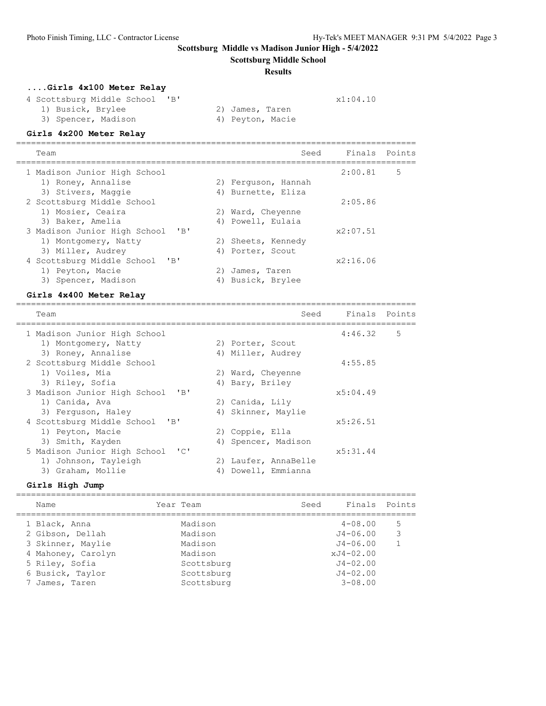**Scottsburg Middle School**

#### **Results**

# **....Girls 4x100 Meter Relay**

4 Scottsburg Middle School 'B'  $x1:04.10$ <br>1) Busick, Brylee 2) James, Taren 1) Busick, Brylee 2) James, Taren

3) Spencer, Madison (4) Peyton, Macie

### **Girls 4x200 Meter Relay**

| Team                                      |    | Seed                |          | Finals Points |
|-------------------------------------------|----|---------------------|----------|---------------|
| 1 Madison Junior High School              |    |                     | 2:00.81  | 5             |
| 1) Roney, Annalise                        |    | 2) Ferquson, Hannah |          |               |
| 3) Stivers, Maggie                        |    | 4) Burnette, Eliza  |          |               |
| 2 Scottsburg Middle School                |    |                     | 2:05.86  |               |
| 1) Mosier, Ceaira                         |    | 2) Ward, Chevenne   |          |               |
| 3) Baker, Amelia                          |    | 4) Powell, Eulaia   |          |               |
| 3 Madison Junior High School<br>$'$ B $'$ |    |                     | x2:07.51 |               |
| 1) Montgomery, Natty                      |    | 2) Sheets, Kennedy  |          |               |
| 3) Miller, Audrey                         |    | 4) Porter, Scout    |          |               |
| $'$ B $'$<br>4 Scottsburg Middle School   |    |                     | x2:16.06 |               |
| 1) Peyton, Macie                          |    | 2) James, Taren     |          |               |
| 3) Spencer, Madison                       | 4) | Busick, Brylee      |          |               |

#### **Girls 4x400 Meter Relay**

| Team                                       |    | Seed               | Finals Points |   |
|--------------------------------------------|----|--------------------|---------------|---|
| 1 Madison Junior High School               |    |                    | 4:46.32       | 5 |
| 1) Montgomery, Natty                       |    | 2) Porter, Scout   |               |   |
| 3) Roney, Annalise                         |    | 4) Miller, Audrey  |               |   |
| 2 Scottsburg Middle School                 |    |                    | 4:55.85       |   |
| 1) Voiles, Mia                             |    | 2) Ward, Cheyenne  |               |   |
| 3) Riley, Sofia                            |    | 4) Bary, Briley    |               |   |
| 3 Madison Junior High School<br>$'$ R $'$  |    |                    | x5:04.49      |   |
| 1) Canida, Ava                             |    | 2) Canida, Lily    |               |   |
| 3) Ferguson, Haley                         |    | 4) Skinner, Maylie |               |   |
| 4 Scottsburg Middle School<br>$'$ B        |    |                    | x5:26.51      |   |
| 1) Peyton, Macie                           |    | 2) Coppie, Ella    |               |   |
| 3) Smith, Kayden                           | 4) | Spencer, Madison   |               |   |
| $\sqrt{1}$<br>5 Madison Junior High School |    |                    | x5:31.44      |   |
| 1) Johnson, Tayleigh                       | 2) | Laufer, AnnaBelle  |               |   |
| 3) Graham, Mollie                          | 4) | Dowell, Emmianna   |               |   |

# **Girls High Jump**

| Name               | Year Team  | Seed | Finals Points |               |
|--------------------|------------|------|---------------|---------------|
| 1 Black, Anna      | Madison    |      | $4 - 08.00$   | 5             |
| 2 Gibson, Dellah   | Madison    |      | $J4 - 06.00$  | $\mathcal{E}$ |
| 3 Skinner, Maylie  | Madison    |      | $J4 - 06.00$  |               |
| 4 Mahoney, Carolyn | Madison    |      | $xJ4-02.00$   |               |
| 5 Riley, Sofia     | Scottsburg |      | $J4 - 02.00$  |               |
| 6 Busick, Taylor   | Scottsburg |      | $J4 - 02.00$  |               |
| James, Taren       | Scottsburg |      | $3 - 08.00$   |               |
|                    |            |      |               |               |